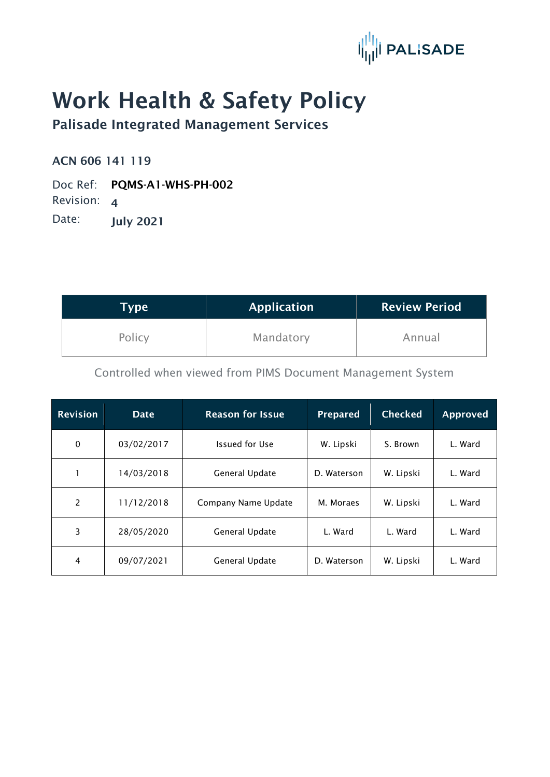

## Work Health & Safety Policy

Palisade Integrated Management Services

ACN 606 141 119

Doc Ref: PQMS-A1-WHS-PH-002

Revision: 4

Date: **July 2021** 

| Type   | <b>Application</b> | <b>Review Period</b> |  |
|--------|--------------------|----------------------|--|
| Policy | Mandatory          | Annual               |  |

Controlled when viewed from PIMS Document Management System

| <b>Revision</b> | <b>Date</b> | <b>Reason for Issue</b> | <b>Prepared</b> | <b>Checked</b> | <b>Approved</b> |
|-----------------|-------------|-------------------------|-----------------|----------------|-----------------|
| $\mathbf 0$     | 03/02/2017  | Issued for Use          | W. Lipski       | S. Brown       | L. Ward         |
|                 | 14/03/2018  | General Update          | D. Waterson     | W. Lipski      | L. Ward         |
| 2               | 11/12/2018  | Company Name Update     | M. Moraes       | W. Lipski      | L. Ward         |
| 3               | 28/05/2020  | General Update          | L. Ward         | L. Ward        | L. Ward         |
| 4               | 09/07/2021  | General Update          | D. Waterson     | W. Lipski      | L. Ward         |